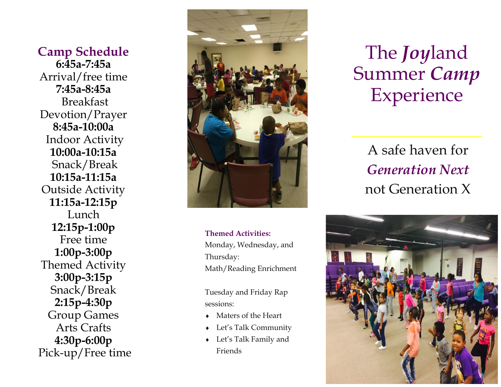**Camp Schedul e** Arrival/free time **Breakfast**  Devotion/Prayer Indoor Activity Snack/Break  **10:15a-11:15a**  Outside Activit y  **11:15a-12:** Lunch **11:15a-12:15p**<br>Lunch<br>**12:15p-1:00p** Free time  **1:00p-3:00p** Themed Activity Group Game s Arts Craft s Pick-up/Free tim e **6:45a-7:45a 7:45a-8: 45a 8:45a-10:00a 10:00a-10:15a 3:00p-3:15 p** Snack/Break **2:15p-4:30p 4:30p-6:00p** 



 **Themed Activities:** Monday, Wednesday, and Math/Reading Enrichment Math/Reading Enrichment<br>Tuesday and Friday Rap Thursday:

sessions:

- $\bullet$  Maters of the Heart
- Let's Talk Community
- Let's Talk Family and Friends

# Joyland Summer *Camp* Experience

 A safe haven fo r  *Generation Nex t* not Generation X